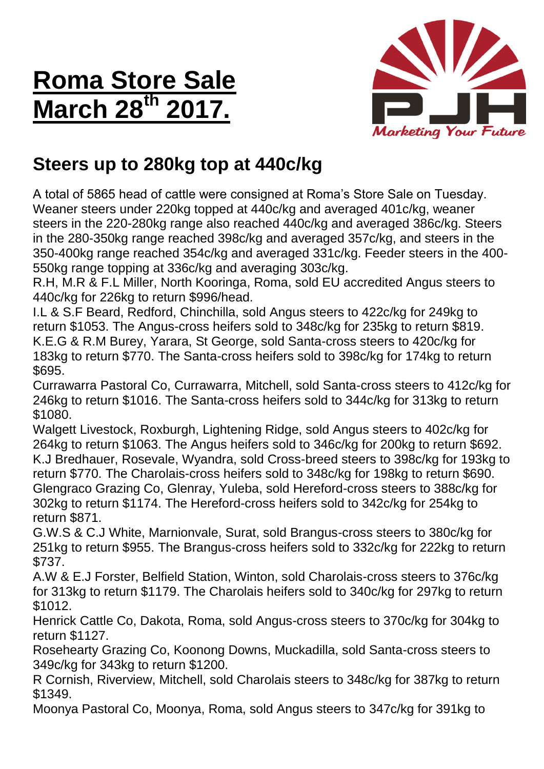## **Roma Store Sale March 28 th 2017.**



## **Steers up to 280kg top at 440c/kg**

A total of 5865 head of cattle were consigned at Roma's Store Sale on Tuesday. Weaner steers under 220kg topped at 440c/kg and averaged 401c/kg, weaner steers in the 220-280kg range also reached 440c/kg and averaged 386c/kg. Steers in the 280-350kg range reached 398c/kg and averaged 357c/kg, and steers in the 350-400kg range reached 354c/kg and averaged 331c/kg. Feeder steers in the 400- 550kg range topping at 336c/kg and averaging 303c/kg.

R.H, M.R & F.L Miller, North Kooringa, Roma, sold EU accredited Angus steers to 440c/kg for 226kg to return \$996/head.

I.L & S.F Beard, Redford, Chinchilla, sold Angus steers to 422c/kg for 249kg to return \$1053. The Angus-cross heifers sold to 348c/kg for 235kg to return \$819. K.E.G & R.M Burey, Yarara, St George, sold Santa-cross steers to 420c/kg for 183kg to return \$770. The Santa-cross heifers sold to 398c/kg for 174kg to return \$695.

Currawarra Pastoral Co, Currawarra, Mitchell, sold Santa-cross steers to 412c/kg for 246kg to return \$1016. The Santa-cross heifers sold to 344c/kg for 313kg to return \$1080.

Walgett Livestock, Roxburgh, Lightening Ridge, sold Angus steers to 402c/kg for 264kg to return \$1063. The Angus heifers sold to 346c/kg for 200kg to return \$692. K.J Bredhauer, Rosevale, Wyandra, sold Cross-breed steers to 398c/kg for 193kg to return \$770. The Charolais-cross heifers sold to 348c/kg for 198kg to return \$690. Glengraco Grazing Co, Glenray, Yuleba, sold Hereford-cross steers to 388c/kg for 302kg to return \$1174. The Hereford-cross heifers sold to 342c/kg for 254kg to return \$871.

G.W.S & C.J White, Marnionvale, Surat, sold Brangus-cross steers to 380c/kg for 251kg to return \$955. The Brangus-cross heifers sold to 332c/kg for 222kg to return \$737.

A.W & E.J Forster, Belfield Station, Winton, sold Charolais-cross steers to 376c/kg for 313kg to return \$1179. The Charolais heifers sold to 340c/kg for 297kg to return \$1012.

Henrick Cattle Co, Dakota, Roma, sold Angus-cross steers to 370c/kg for 304kg to return \$1127.

Rosehearty Grazing Co, Koonong Downs, Muckadilla, sold Santa-cross steers to 349c/kg for 343kg to return \$1200.

R Cornish, Riverview, Mitchell, sold Charolais steers to 348c/kg for 387kg to return \$1349.

Moonya Pastoral Co, Moonya, Roma, sold Angus steers to 347c/kg for 391kg to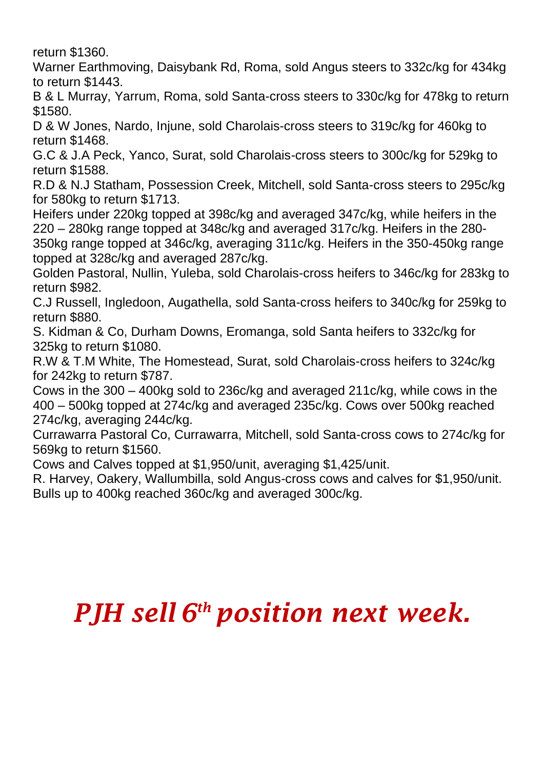return \$1360.

Warner Earthmoving, Daisybank Rd, Roma, sold Angus steers to 332c/kg for 434kg to return \$1443.

B & L Murray, Yarrum, Roma, sold Santa-cross steers to 330c/kg for 478kg to return \$1580.

D & W Jones, Nardo, Injune, sold Charolais-cross steers to 319c/kg for 460kg to return \$1468.

G.C & J.A Peck, Yanco, Surat, sold Charolais-cross steers to 300c/kg for 529kg to return \$1588.

R.D & N.J Statham, Possession Creek, Mitchell, sold Santa-cross steers to 295c/kg for 580kg to return \$1713.

Heifers under 220kg topped at 398c/kg and averaged 347c/kg, while heifers in the 220 – 280kg range topped at 348c/kg and averaged 317c/kg. Heifers in the 280- 350kg range topped at 346c/kg, averaging 311c/kg. Heifers in the 350-450kg range

topped at 328c/kg and averaged 287c/kg.

Golden Pastoral, Nullin, Yuleba, sold Charolais-cross heifers to 346c/kg for 283kg to return \$982.

C.J Russell, Ingledoon, Augathella, sold Santa-cross heifers to 340c/kg for 259kg to return \$880.

S. Kidman & Co, Durham Downs, Eromanga, sold Santa heifers to 332c/kg for 325kg to return \$1080.

R.W & T.M White, The Homestead, Surat, sold Charolais-cross heifers to 324c/kg for 242kg to return \$787.

Cows in the 300 – 400kg sold to 236c/kg and averaged 211c/kg, while cows in the 400 – 500kg topped at 274c/kg and averaged 235c/kg. Cows over 500kg reached 274c/kg, averaging 244c/kg.

Currawarra Pastoral Co, Currawarra, Mitchell, sold Santa-cross cows to 274c/kg for 569kg to return \$1560.

Cows and Calves topped at \$1,950/unit, averaging \$1,425/unit.

R. Harvey, Oakery, Wallumbilla, sold Angus-cross cows and calves for \$1,950/unit. Bulls up to 400kg reached 360c/kg and averaged 300c/kg.

## *PJH sell 6 th position next week.*